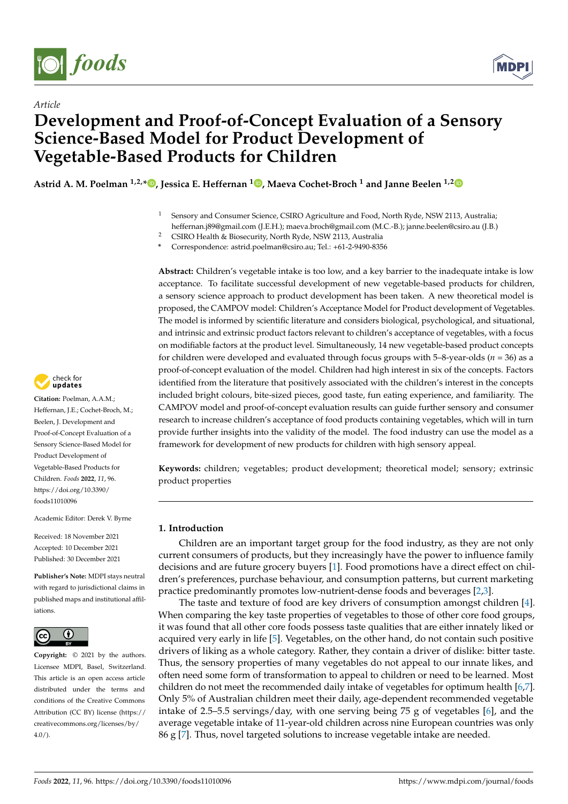



## *Article* **Development and Proof-of-Concept Evaluation of a Sensory Science-Based Model for Product Development of Vegetable-Based Products for Children**

**Astrid A. M. Poelman 1,2,[\\*](https://orcid.org/0000-0003-2286-9885) , Jessica E. Heffernan <sup>1</sup> [,](https://orcid.org/0000-0002-5057-9124) Maeva Cochet-Broch <sup>1</sup> and Janne Beelen 1,[2](https://orcid.org/0000-0003-0804-4481)**

<sup>1</sup> Sensory and Consumer Science, CSIRO Agriculture and Food, North Ryde, NSW 2113, Australia; heffernan.j89@gmail.com (J.E.H.); maeva.broch@gmail.com (M.C.-B.); janne.beelen@csiro.au (J.B.)

<sup>2</sup> CSIRO Health & Biosecurity, North Ryde, NSW 2113, Australia

**\*** Correspondence: astrid.poelman@csiro.au; Tel.: +61-2-9490-8356

**Abstract:** Children's vegetable intake is too low, and a key barrier to the inadequate intake is low acceptance. To facilitate successful development of new vegetable-based products for children, a sensory science approach to product development has been taken. A new theoretical model is proposed, the CAMPOV model: Children's Acceptance Model for Product development of Vegetables. The model is informed by scientific literature and considers biological, psychological, and situational, and intrinsic and extrinsic product factors relevant to children's acceptance of vegetables, with a focus on modifiable factors at the product level. Simultaneously, 14 new vegetable-based product concepts for children were developed and evaluated through focus groups with 5–8-year-olds (*n* = 36) as a proof-of-concept evaluation of the model. Children had high interest in six of the concepts. Factors identified from the literature that positively associated with the children's interest in the concepts included bright colours, bite-sized pieces, good taste, fun eating experience, and familiarity. The CAMPOV model and proof-of-concept evaluation results can guide further sensory and consumer research to increase children's acceptance of food products containing vegetables, which will in turn provide further insights into the validity of the model. The food industry can use the model as a framework for development of new products for children with high sensory appeal.

**Keywords:** children; vegetables; product development; theoretical model; sensory; extrinsic product properties

## **1. Introduction**

Children are an important target group for the food industry, as they are not only current consumers of products, but they increasingly have the power to influence family decisions and are future grocery buyers [\[1\]](#page-12-0). Food promotions have a direct effect on children's preferences, purchase behaviour, and consumption patterns, but current marketing practice predominantly promotes low-nutrient-dense foods and beverages [\[2](#page-12-1)[,3\]](#page-12-2).

The taste and texture of food are key drivers of consumption amongst children [\[4\]](#page-12-3). When comparing the key taste properties of vegetables to those of other core food groups, it was found that all other core foods possess taste qualities that are either innately liked or acquired very early in life [\[5\]](#page-13-0). Vegetables, on the other hand, do not contain such positive drivers of liking as a whole category. Rather, they contain a driver of dislike: bitter taste. Thus, the sensory properties of many vegetables do not appeal to our innate likes, and often need some form of transformation to appeal to children or need to be learned. Most children do not meet the recommended daily intake of vegetables for optimum health [\[6](#page-13-1)[,7\]](#page-13-2). Only 5% of Australian children meet their daily, age-dependent recommended vegetable intake of 2.5–5.5 servings/day, with one serving being 75 g of vegetables [\[6\]](#page-13-1), and the average vegetable intake of 11-year-old children across nine European countries was only 86 g [\[7\]](#page-13-2). Thus, novel targeted solutions to increase vegetable intake are needed.



**Citation:** Poelman, A.A.M.; Heffernan, J.E.; Cochet-Broch, M.; Beelen, J. Development and Proof-of-Concept Evaluation of a Sensory Science-Based Model for Product Development of Vegetable-Based Products for Children. *Foods* **2022**, *11*, 96. [https://doi.org/10.3390/](https://doi.org/10.3390/foods11010096) [foods11010096](https://doi.org/10.3390/foods11010096)

Academic Editor: Derek V. Byrne

Received: 18 November 2021 Accepted: 10 December 2021 Published: 30 December 2021

**Publisher's Note:** MDPI stays neutral with regard to jurisdictional claims in published maps and institutional affiliations.



**Copyright:** © 2021 by the authors. Licensee MDPI, Basel, Switzerland. This article is an open access article distributed under the terms and conditions of the Creative Commons Attribution (CC BY) license [\(https://](https://creativecommons.org/licenses/by/4.0/) [creativecommons.org/licenses/by/](https://creativecommons.org/licenses/by/4.0/)  $4.0/$ ).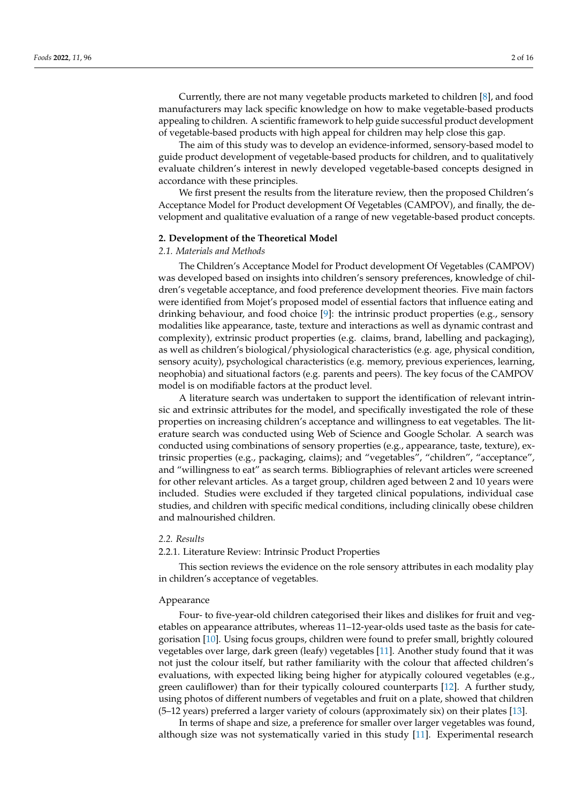Currently, there are not many vegetable products marketed to children [\[8\]](#page-13-3), and food manufacturers may lack specific knowledge on how to make vegetable-based products appealing to children. A scientific framework to help guide successful product development of vegetable-based products with high appeal for children may help close this gap.

The aim of this study was to develop an evidence-informed, sensory-based model to guide product development of vegetable-based products for children, and to qualitatively evaluate children's interest in newly developed vegetable-based concepts designed in accordance with these principles.

We first present the results from the literature review, then the proposed Children's Acceptance Model for Product development Of Vegetables (CAMPOV), and finally, the development and qualitative evaluation of a range of new vegetable-based product concepts.

## **2. Development of the Theoretical Model**

#### *2.1. Materials and Methods*

The Children's Acceptance Model for Product development Of Vegetables (CAMPOV) was developed based on insights into children's sensory preferences, knowledge of children's vegetable acceptance, and food preference development theories. Five main factors were identified from Mojet's proposed model of essential factors that influence eating and drinking behaviour, and food choice [\[9\]](#page-13-4): the intrinsic product properties (e.g., sensory modalities like appearance, taste, texture and interactions as well as dynamic contrast and complexity), extrinsic product properties (e.g. claims, brand, labelling and packaging), as well as children's biological/physiological characteristics (e.g. age, physical condition, sensory acuity), psychological characteristics (e.g. memory, previous experiences, learning, neophobia) and situational factors (e.g. parents and peers). The key focus of the CAMPOV model is on modifiable factors at the product level.

A literature search was undertaken to support the identification of relevant intrinsic and extrinsic attributes for the model, and specifically investigated the role of these properties on increasing children's acceptance and willingness to eat vegetables. The literature search was conducted using Web of Science and Google Scholar. A search was conducted using combinations of sensory properties (e.g., appearance, taste, texture), extrinsic properties (e.g., packaging, claims); and "vegetables", "children", "acceptance", and "willingness to eat" as search terms. Bibliographies of relevant articles were screened for other relevant articles. As a target group, children aged between 2 and 10 years were included. Studies were excluded if they targeted clinical populations, individual case studies, and children with specific medical conditions, including clinically obese children and malnourished children.

## *2.2. Results*

## 2.2.1. Literature Review: Intrinsic Product Properties

This section reviews the evidence on the role sensory attributes in each modality play in children's acceptance of vegetables.

## Appearance

Four- to five-year-old children categorised their likes and dislikes for fruit and vegetables on appearance attributes, whereas 11–12-year-olds used taste as the basis for categorisation [\[10\]](#page-13-5). Using focus groups, children were found to prefer small, brightly coloured vegetables over large, dark green (leafy) vegetables [\[11\]](#page-13-6). Another study found that it was not just the colour itself, but rather familiarity with the colour that affected children's evaluations, with expected liking being higher for atypically coloured vegetables (e.g., green cauliflower) than for their typically coloured counterparts [\[12\]](#page-13-7). A further study, using photos of different numbers of vegetables and fruit on a plate, showed that children (5–12 years) preferred a larger variety of colours (approximately six) on their plates [\[13\]](#page-13-8).

In terms of shape and size, a preference for smaller over larger vegetables was found, although size was not systematically varied in this study [\[11\]](#page-13-6). Experimental research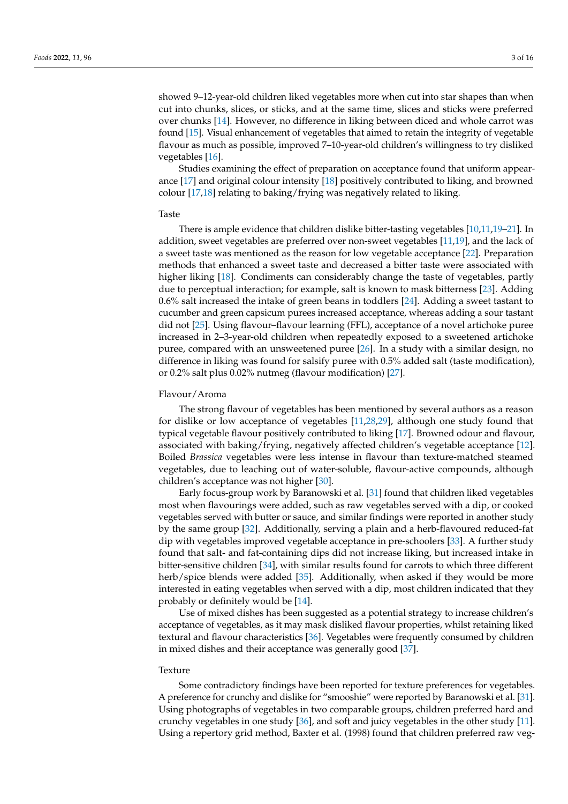showed 9–12-year-old children liked vegetables more when cut into star shapes than when cut into chunks, slices, or sticks, and at the same time, slices and sticks were preferred over chunks [\[14\]](#page-13-9). However, no difference in liking between diced and whole carrot was found [\[15\]](#page-13-10). Visual enhancement of vegetables that aimed to retain the integrity of vegetable flavour as much as possible, improved 7–10-year-old children's willingness to try disliked vegetables [\[16\]](#page-13-11).

Studies examining the effect of preparation on acceptance found that uniform appearance [\[17\]](#page-13-12) and original colour intensity [\[18\]](#page-13-13) positively contributed to liking, and browned colour [\[17](#page-13-12)[,18\]](#page-13-13) relating to baking/frying was negatively related to liking.

## Taste

There is ample evidence that children dislike bitter-tasting vegetables [\[10](#page-13-5)[,11](#page-13-6)[,19–](#page-13-14)[21\]](#page-13-15). In addition, sweet vegetables are preferred over non-sweet vegetables [\[11,](#page-13-6)[19\]](#page-13-14), and the lack of a sweet taste was mentioned as the reason for low vegetable acceptance [\[22\]](#page-13-16). Preparation methods that enhanced a sweet taste and decreased a bitter taste were associated with higher liking [\[18\]](#page-13-13). Condiments can considerably change the taste of vegetables, partly due to perceptual interaction; for example, salt is known to mask bitterness [\[23\]](#page-13-17). Adding 0.6% salt increased the intake of green beans in toddlers [\[24\]](#page-13-18). Adding a sweet tastant to cucumber and green capsicum purees increased acceptance, whereas adding a sour tastant did not [\[25\]](#page-13-19). Using flavour–flavour learning (FFL), acceptance of a novel artichoke puree increased in 2–3-year-old children when repeatedly exposed to a sweetened artichoke puree, compared with an unsweetened puree [\[26\]](#page-13-20). In a study with a similar design, no difference in liking was found for salsify puree with 0.5% added salt (taste modification), or 0.2% salt plus 0.02% nutmeg (flavour modification) [\[27\]](#page-13-21).

## Flavour/Aroma

The strong flavour of vegetables has been mentioned by several authors as a reason for dislike or low acceptance of vegetables [\[11](#page-13-6)[,28](#page-13-22)[,29\]](#page-13-23), although one study found that typical vegetable flavour positively contributed to liking [\[17\]](#page-13-12). Browned odour and flavour, associated with baking/frying, negatively affected children's vegetable acceptance [\[12\]](#page-13-7). Boiled *Brassica* vegetables were less intense in flavour than texture-matched steamed vegetables, due to leaching out of water-soluble, flavour-active compounds, although children's acceptance was not higher [\[30\]](#page-13-24).

Early focus-group work by Baranowski et al. [\[31\]](#page-13-25) found that children liked vegetables most when flavourings were added, such as raw vegetables served with a dip, or cooked vegetables served with butter or sauce, and similar findings were reported in another study by the same group [\[32\]](#page-13-26). Additionally, serving a plain and a herb-flavoured reduced-fat dip with vegetables improved vegetable acceptance in pre-schoolers [\[33\]](#page-14-0). A further study found that salt- and fat-containing dips did not increase liking, but increased intake in bitter-sensitive children [\[34\]](#page-14-1), with similar results found for carrots to which three different herb/spice blends were added [\[35\]](#page-14-2). Additionally, when asked if they would be more interested in eating vegetables when served with a dip, most children indicated that they probably or definitely would be [\[14\]](#page-13-9).

Use of mixed dishes has been suggested as a potential strategy to increase children's acceptance of vegetables, as it may mask disliked flavour properties, whilst retaining liked textural and flavour characteristics [\[36\]](#page-14-3). Vegetables were frequently consumed by children in mixed dishes and their acceptance was generally good [\[37\]](#page-14-4).

#### Texture

Some contradictory findings have been reported for texture preferences for vegetables. A preference for crunchy and dislike for "smooshie" were reported by Baranowski et al. [\[31\]](#page-13-25). Using photographs of vegetables in two comparable groups, children preferred hard and crunchy vegetables in one study [\[36\]](#page-14-3), and soft and juicy vegetables in the other study [\[11\]](#page-13-6). Using a repertory grid method, Baxter et al. (1998) found that children preferred raw veg-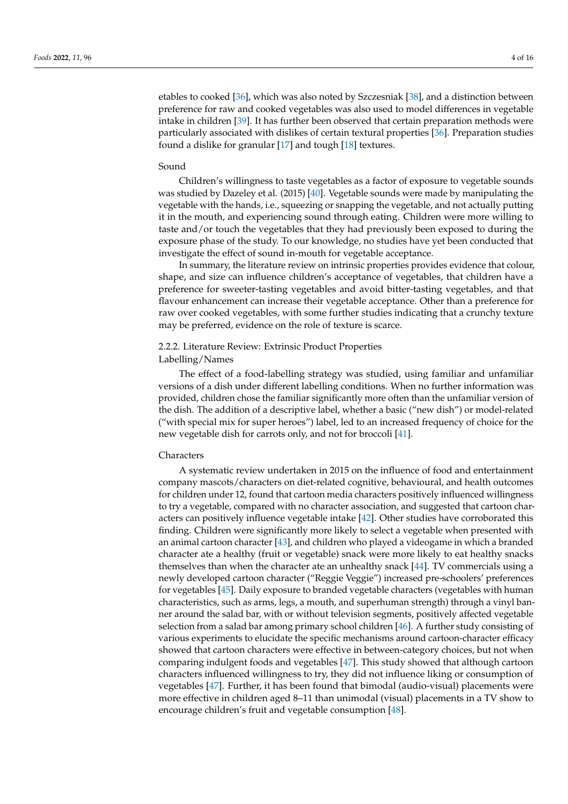etables to cooked [\[36\]](#page-14-3), which was also noted by Szczesniak [\[38\]](#page-14-5), and a distinction between preference for raw and cooked vegetables was also used to model differences in vegetable intake in children [\[39\]](#page-14-6). It has further been observed that certain preparation methods were particularly associated with dislikes of certain textural properties [\[36\]](#page-14-3). Preparation studies found a dislike for granular [\[17\]](#page-13-12) and tough [\[18\]](#page-13-13) textures.

#### Sound

Children's willingness to taste vegetables as a factor of exposure to vegetable sounds was studied by Dazeley et al. (2015) [\[40\]](#page-14-7). Vegetable sounds were made by manipulating the vegetable with the hands, i.e., squeezing or snapping the vegetable, and not actually putting it in the mouth, and experiencing sound through eating. Children were more willing to taste and/or touch the vegetables that they had previously been exposed to during the exposure phase of the study. To our knowledge, no studies have yet been conducted that investigate the effect of sound in-mouth for vegetable acceptance.

In summary, the literature review on intrinsic properties provides evidence that colour, shape, and size can influence children's acceptance of vegetables, that children have a preference for sweeter-tasting vegetables and avoid bitter-tasting vegetables, and that flavour enhancement can increase their vegetable acceptance. Other than a preference for raw over cooked vegetables, with some further studies indicating that a crunchy texture may be preferred, evidence on the role of texture is scarce.

## 2.2.2. Literature Review: Extrinsic Product Properties Labelling/Names

The effect of a food-labelling strategy was studied, using familiar and unfamiliar versions of a dish under different labelling conditions. When no further information was provided, children chose the familiar significantly more often than the unfamiliar version of the dish. The addition of a descriptive label, whether a basic ("new dish") or model-related ("with special mix for super heroes") label, led to an increased frequency of choice for the new vegetable dish for carrots only, and not for broccoli [\[41\]](#page-14-8).

## **Characters**

A systematic review undertaken in 2015 on the influence of food and entertainment company mascots/characters on diet-related cognitive, behavioural, and health outcomes for children under 12, found that cartoon media characters positively influenced willingness to try a vegetable, compared with no character association, and suggested that cartoon characters can positively influence vegetable intake [\[42\]](#page-14-9). Other studies have corroborated this finding. Children were significantly more likely to select a vegetable when presented with an animal cartoon character [\[43\]](#page-14-10), and children who played a videogame in which a branded character ate a healthy (fruit or vegetable) snack were more likely to eat healthy snacks themselves than when the character ate an unhealthy snack [\[44\]](#page-14-11). TV commercials using a newly developed cartoon character ("Reggie Veggie") increased pre-schoolers' preferences for vegetables [\[45\]](#page-14-12). Daily exposure to branded vegetable characters (vegetables with human characteristics, such as arms, legs, a mouth, and superhuman strength) through a vinyl banner around the salad bar, with or without television segments, positively affected vegetable selection from a salad bar among primary school children [\[46\]](#page-14-13). A further study consisting of various experiments to elucidate the specific mechanisms around cartoon-character efficacy showed that cartoon characters were effective in between-category choices, but not when comparing indulgent foods and vegetables [\[47\]](#page-14-14). This study showed that although cartoon characters influenced willingness to try, they did not influence liking or consumption of vegetables [\[47\]](#page-14-14). Further, it has been found that bimodal (audio-visual) placements were more effective in children aged 8–11 than unimodal (visual) placements in a TV show to encourage children's fruit and vegetable consumption [\[48\]](#page-14-15).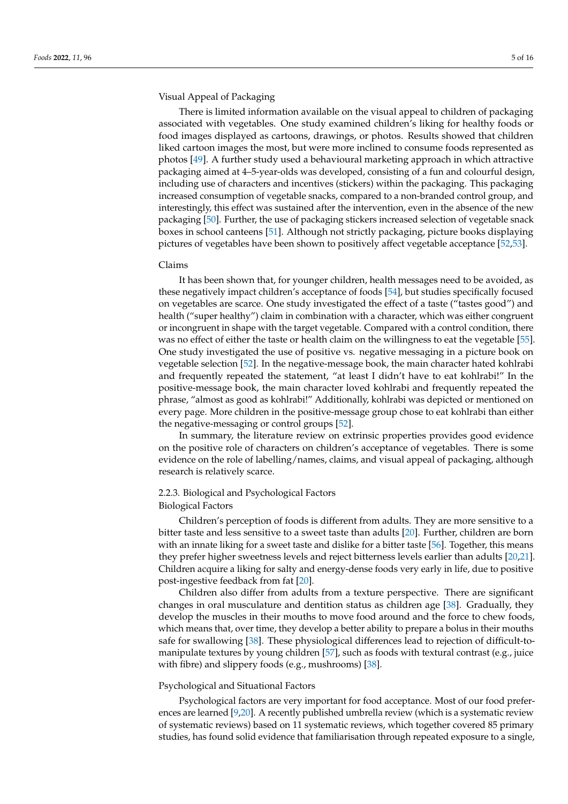## Visual Appeal of Packaging

There is limited information available on the visual appeal to children of packaging associated with vegetables. One study examined children's liking for healthy foods or food images displayed as cartoons, drawings, or photos. Results showed that children liked cartoon images the most, but were more inclined to consume foods represented as photos [\[49\]](#page-14-16). A further study used a behavioural marketing approach in which attractive packaging aimed at 4–5-year-olds was developed, consisting of a fun and colourful design, including use of characters and incentives (stickers) within the packaging. This packaging increased consumption of vegetable snacks, compared to a non-branded control group, and interestingly, this effect was sustained after the intervention, even in the absence of the new packaging [\[50\]](#page-14-17). Further, the use of packaging stickers increased selection of vegetable snack boxes in school canteens [\[51\]](#page-14-18). Although not strictly packaging, picture books displaying pictures of vegetables have been shown to positively affect vegetable acceptance [\[52](#page-14-19)[,53\]](#page-14-20).

## Claims

It has been shown that, for younger children, health messages need to be avoided, as these negatively impact children's acceptance of foods [\[54\]](#page-14-21), but studies specifically focused on vegetables are scarce. One study investigated the effect of a taste ("tastes good") and health ("super healthy") claim in combination with a character, which was either congruent or incongruent in shape with the target vegetable. Compared with a control condition, there was no effect of either the taste or health claim on the willingness to eat the vegetable [\[55\]](#page-14-22). One study investigated the use of positive vs. negative messaging in a picture book on vegetable selection [\[52\]](#page-14-19). In the negative-message book, the main character hated kohlrabi and frequently repeated the statement, "at least I didn't have to eat kohlrabi!" In the positive-message book, the main character loved kohlrabi and frequently repeated the phrase, "almost as good as kohlrabi!" Additionally, kohlrabi was depicted or mentioned on every page. More children in the positive-message group chose to eat kohlrabi than either the negative-messaging or control groups [\[52\]](#page-14-19).

In summary, the literature review on extrinsic properties provides good evidence on the positive role of characters on children's acceptance of vegetables. There is some evidence on the role of labelling/names, claims, and visual appeal of packaging, although research is relatively scarce.

## 2.2.3. Biological and Psychological Factors Biological Factors

Children's perception of foods is different from adults. They are more sensitive to a bitter taste and less sensitive to a sweet taste than adults [\[20\]](#page-13-27). Further, children are born with an innate liking for a sweet taste and dislike for a bitter taste [\[56\]](#page-14-23). Together, this means they prefer higher sweetness levels and reject bitterness levels earlier than adults [\[20,](#page-13-27)[21\]](#page-13-15). Children acquire a liking for salty and energy-dense foods very early in life, due to positive post-ingestive feedback from fat [\[20\]](#page-13-27).

Children also differ from adults from a texture perspective. There are significant changes in oral musculature and dentition status as children age [\[38\]](#page-14-5). Gradually, they develop the muscles in their mouths to move food around and the force to chew foods, which means that, over time, they develop a better ability to prepare a bolus in their mouths safe for swallowing [\[38\]](#page-14-5). These physiological differences lead to rejection of difficult-to-manipulate textures by young children [\[57\]](#page-14-24), such as foods with textural contrast (e.g., juice with fibre) and slippery foods (e.g., mushrooms) [\[38\]](#page-14-5).

## Psychological and Situational Factors

Psychological factors are very important for food acceptance. Most of our food preferences are learned [\[9](#page-13-4)[,20\]](#page-13-27). A recently published umbrella review (which is a systematic review of systematic reviews) based on 11 systematic reviews, which together covered 85 primary studies, has found solid evidence that familiarisation through repeated exposure to a single,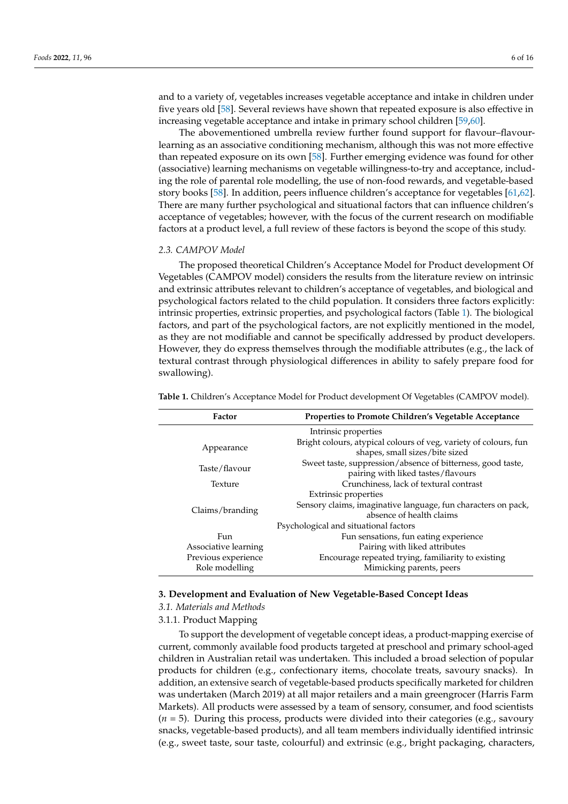and to a variety of, vegetables increases vegetable acceptance and intake in children under five years old [\[58\]](#page-14-25). Several reviews have shown that repeated exposure is also effective in increasing vegetable acceptance and intake in primary school children [\[59,](#page-15-0)[60\]](#page-15-1).

The abovementioned umbrella review further found support for flavour–flavourlearning as an associative conditioning mechanism, although this was not more effective than repeated exposure on its own [\[58\]](#page-14-25). Further emerging evidence was found for other (associative) learning mechanisms on vegetable willingness-to-try and acceptance, including the role of parental role modelling, the use of non-food rewards, and vegetable-based story books [\[58\]](#page-14-25). In addition, peers influence children's acceptance for vegetables [\[61,](#page-15-2)[62\]](#page-15-3). There are many further psychological and situational factors that can influence children's acceptance of vegetables; however, with the focus of the current research on modifiable factors at a product level, a full review of these factors is beyond the scope of this study.

## *2.3. CAMPOV Model*

The proposed theoretical Children's Acceptance Model for Product development Of Vegetables (CAMPOV model) considers the results from the literature review on intrinsic and extrinsic attributes relevant to children's acceptance of vegetables, and biological and psychological factors related to the child population. It considers three factors explicitly: intrinsic properties, extrinsic properties, and psychological factors (Table [1\)](#page-5-0). The biological factors, and part of the psychological factors, are not explicitly mentioned in the model, as they are not modifiable and cannot be specifically addressed by product developers. However, they do express themselves through the modifiable attributes (e.g., the lack of textural contrast through physiological differences in ability to safely prepare food for swallowing).

| Factor               | <b>Properties to Promote Children's Vegetable Acceptance</b>                                       |  |  |  |
|----------------------|----------------------------------------------------------------------------------------------------|--|--|--|
| Intrinsic properties |                                                                                                    |  |  |  |
| Appearance           | Bright colours, atypical colours of veg, variety of colours, fun<br>shapes, small sizes/bite sized |  |  |  |
| Taste/flavour        | Sweet taste, suppression/absence of bitterness, good taste,<br>pairing with liked tastes/flavours  |  |  |  |
| Texture              | Crunchiness, lack of textural contrast                                                             |  |  |  |
| Claims/branding      | Extrinsic properties                                                                               |  |  |  |
|                      | Sensory claims, imaginative language, fun characters on pack,<br>absence of health claims          |  |  |  |
|                      | Psychological and situational factors                                                              |  |  |  |
| Fun                  | Fun sensations, fun eating experience                                                              |  |  |  |
| Associative learning | Pairing with liked attributes                                                                      |  |  |  |
| Previous experience  | Encourage repeated trying, familiarity to existing                                                 |  |  |  |
| Role modelling       | Mimicking parents, peers                                                                           |  |  |  |

<span id="page-5-0"></span>**Table 1.** Children's Acceptance Model for Product development Of Vegetables (CAMPOV model).

## **3. Development and Evaluation of New Vegetable-Based Concept Ideas**

#### *3.1. Materials and Methods*

## 3.1.1. Product Mapping

To support the development of vegetable concept ideas, a product-mapping exercise of current, commonly available food products targeted at preschool and primary school-aged children in Australian retail was undertaken. This included a broad selection of popular products for children (e.g., confectionary items, chocolate treats, savoury snacks). In addition, an extensive search of vegetable-based products specifically marketed for children was undertaken (March 2019) at all major retailers and a main greengrocer (Harris Farm Markets). All products were assessed by a team of sensory, consumer, and food scientists (*n* = 5). During this process, products were divided into their categories (e.g., savoury snacks, vegetable-based products), and all team members individually identified intrinsic (e.g., sweet taste, sour taste, colourful) and extrinsic (e.g., bright packaging, characters,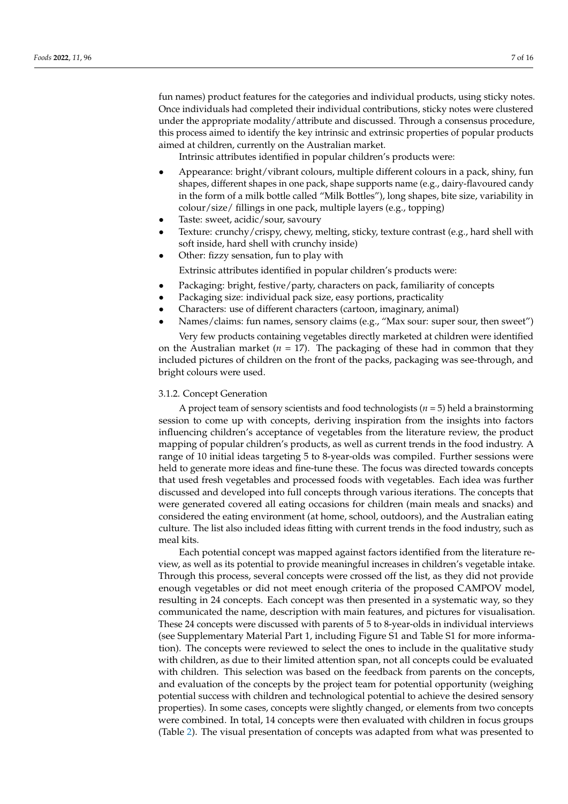fun names) product features for the categories and individual products, using sticky notes. Once individuals had completed their individual contributions, sticky notes were clustered under the appropriate modality/attribute and discussed. Through a consensus procedure, this process aimed to identify the key intrinsic and extrinsic properties of popular products aimed at children, currently on the Australian market.

Intrinsic attributes identified in popular children's products were:

- Appearance: bright/vibrant colours, multiple different colours in a pack, shiny, fun shapes, different shapes in one pack, shape supports name (e.g., dairy-flavoured candy in the form of a milk bottle called "Milk Bottles"), long shapes, bite size, variability in colour/size/ fillings in one pack, multiple layers (e.g., topping)
- Taste: sweet, acidic/sour, savoury
- Texture: crunchy/crispy, chewy, melting, sticky, texture contrast (e.g., hard shell with soft inside, hard shell with crunchy inside)
- Other: fizzy sensation, fun to play with

Extrinsic attributes identified in popular children's products were:

- Packaging: bright, festive/party, characters on pack, familiarity of concepts
- Packaging size: individual pack size, easy portions, practicality
- Characters: use of different characters (cartoon, imaginary, animal)
- Names/claims: fun names, sensory claims (e.g., "Max sour: super sour, then sweet") Very few products containing vegetables directly marketed at children were identified

on the Australian market ( $n = 17$ ). The packaging of these had in common that they included pictures of children on the front of the packs, packaging was see-through, and bright colours were used.

## 3.1.2. Concept Generation

A project team of sensory scientists and food technologists (*n* = 5) held a brainstorming session to come up with concepts, deriving inspiration from the insights into factors influencing children's acceptance of vegetables from the literature review, the product mapping of popular children's products, as well as current trends in the food industry. A range of 10 initial ideas targeting 5 to 8-year-olds was compiled. Further sessions were held to generate more ideas and fine-tune these. The focus was directed towards concepts that used fresh vegetables and processed foods with vegetables. Each idea was further discussed and developed into full concepts through various iterations. The concepts that were generated covered all eating occasions for children (main meals and snacks) and considered the eating environment (at home, school, outdoors), and the Australian eating culture. The list also included ideas fitting with current trends in the food industry, such as meal kits.

Each potential concept was mapped against factors identified from the literature review, as well as its potential to provide meaningful increases in children's vegetable intake. Through this process, several concepts were crossed off the list, as they did not provide enough vegetables or did not meet enough criteria of the proposed CAMPOV model, resulting in 24 concepts. Each concept was then presented in a systematic way, so they communicated the name, description with main features, and pictures for visualisation. These 24 concepts were discussed with parents of 5 to 8-year-olds in individual interviews (see Supplementary Material Part 1, including Figure S1 and Table S1 for more information). The concepts were reviewed to select the ones to include in the qualitative study with children, as due to their limited attention span, not all concepts could be evaluated with children. This selection was based on the feedback from parents on the concepts, and evaluation of the concepts by the project team for potential opportunity (weighing potential success with children and technological potential to achieve the desired sensory properties). In some cases, concepts were slightly changed, or elements from two concepts were combined. In total, 14 concepts were then evaluated with children in focus groups (Table [2\)](#page-7-0). The visual presentation of concepts was adapted from what was presented to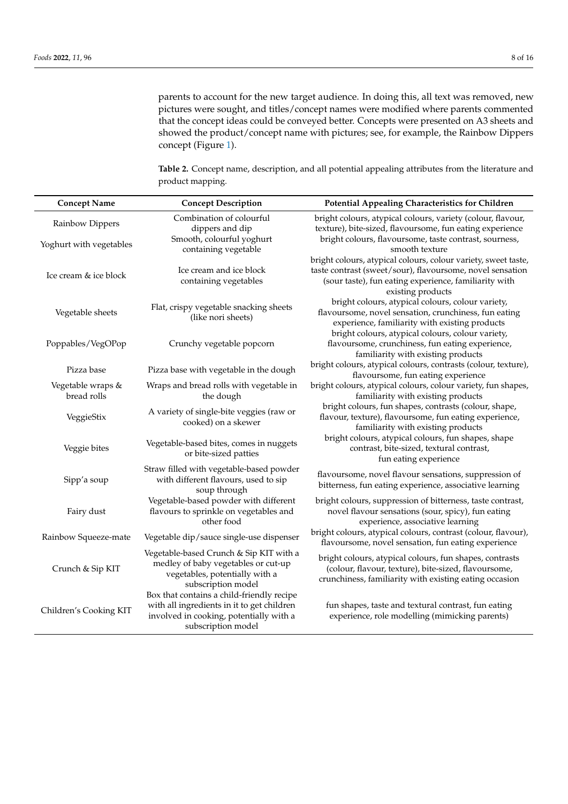parents to account for the new target audience. In doing this, all text was removed, new pictures were sought, and titles/concept names were modified where parents commented that the concept ideas could be conveyed better. Concepts were presented on A3 sheets and showed the product/concept name with pictures; see, for example, the Rainbow Dippers concept (Figure [1\)](#page-8-0).

<span id="page-7-0"></span>**Table 2.** Concept name, description, and all potential appealing attributes from the literature and product mapping.

| <b>Concept Name</b>              | <b>Concept Description</b>                                                                                                                               | Potential Appealing Characteristics for Children                                                                                                                                                          |  |
|----------------------------------|----------------------------------------------------------------------------------------------------------------------------------------------------------|-----------------------------------------------------------------------------------------------------------------------------------------------------------------------------------------------------------|--|
| Rainbow Dippers                  | Combination of colourful<br>dippers and dip                                                                                                              | bright colours, atypical colours, variety (colour, flavour,<br>texture), bite-sized, flavoursome, fun eating experience                                                                                   |  |
| Yoghurt with vegetables          | Smooth, colourful yoghurt<br>containing vegetable                                                                                                        | bright colours, flavoursome, taste contrast, sourness,<br>smooth texture                                                                                                                                  |  |
| Ice cream & ice block            | Ice cream and ice block<br>containing vegetables                                                                                                         | bright colours, atypical colours, colour variety, sweet taste,<br>taste contrast (sweet/sour), flavoursome, novel sensation<br>(sour taste), fun eating experience, familiarity with<br>existing products |  |
| Vegetable sheets                 | Flat, crispy vegetable snacking sheets<br>(like nori sheets)                                                                                             | bright colours, atypical colours, colour variety,<br>flavoursome, novel sensation, crunchiness, fun eating<br>experience, familiarity with existing products                                              |  |
| Poppables/VegOPop                | Crunchy vegetable popcorn                                                                                                                                | bright colours, atypical colours, colour variety,<br>flavoursome, crunchiness, fun eating experience,<br>familiarity with existing products                                                               |  |
| Pizza base                       | Pizza base with vegetable in the dough                                                                                                                   | bright colours, atypical colours, contrasts (colour, texture),<br>flavoursome, fun eating experience                                                                                                      |  |
| Vegetable wraps &<br>bread rolls | Wraps and bread rolls with vegetable in<br>the dough                                                                                                     | bright colours, atypical colours, colour variety, fun shapes,<br>familiarity with existing products                                                                                                       |  |
| VeggieStix                       | A variety of single-bite veggies (raw or<br>cooked) on a skewer                                                                                          | bright colours, fun shapes, contrasts (colour, shape,<br>flavour, texture), flavoursome, fun eating experience,<br>familiarity with existing products                                                     |  |
| Veggie bites                     | Vegetable-based bites, comes in nuggets<br>or bite-sized patties                                                                                         | bright colours, atypical colours, fun shapes, shape<br>contrast, bite-sized, textural contrast,<br>fun eating experience                                                                                  |  |
| Sipp'a soup                      | Straw filled with vegetable-based powder<br>with different flavours, used to sip<br>soup through                                                         | flavoursome, novel flavour sensations, suppression of<br>bitterness, fun eating experience, associative learning                                                                                          |  |
| Fairy dust                       | Vegetable-based powder with different<br>flavours to sprinkle on vegetables and<br>other food                                                            | bright colours, suppression of bitterness, taste contrast,<br>novel flavour sensations (sour, spicy), fun eating<br>experience, associative learning                                                      |  |
| Rainbow Squeeze-mate             | Vegetable dip/sauce single-use dispenser                                                                                                                 | bright colours, atypical colours, contrast (colour, flavour),<br>flavoursome, novel sensation, fun eating experience                                                                                      |  |
| Crunch & Sip KIT                 | Vegetable-based Crunch & Sip KIT with a<br>medley of baby vegetables or cut-up<br>vegetables, potentially with a<br>subscription model                   | bright colours, atypical colours, fun shapes, contrasts<br>(colour, flavour, texture), bite-sized, flavoursome,<br>crunchiness, familiarity with existing eating occasion                                 |  |
| Children's Cooking KIT           | Box that contains a child-friendly recipe<br>with all ingredients in it to get children<br>involved in cooking, potentially with a<br>subscription model | fun shapes, taste and textural contrast, fun eating<br>experience, role modelling (mimicking parents)                                                                                                     |  |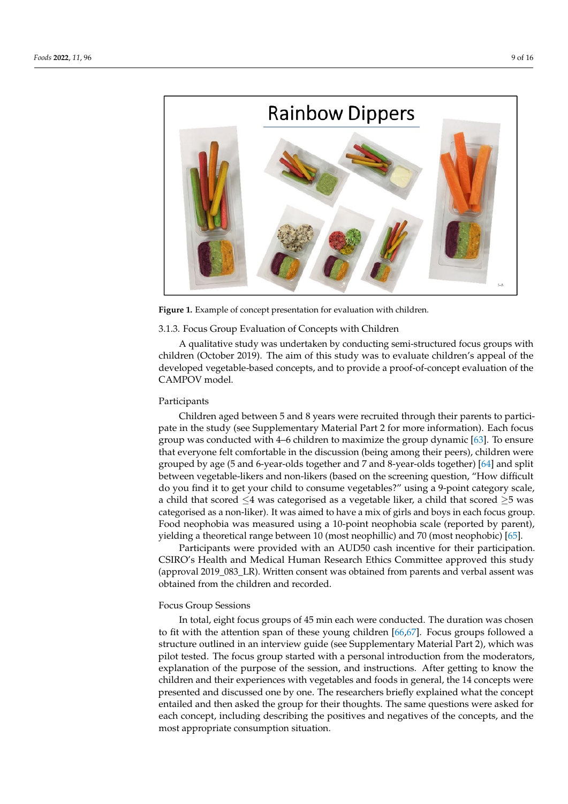<span id="page-8-0"></span>

**Figure 1.** Example of concept presentation for evaluation with children. **Figure 1.** Example of concept presentation for evaluation with children.

# **Table 2.1.3. Focus Group Evaluation of Concepts with Children**

A qualitative study was undertaken by conducting semi-structured focus groups with developed vegetable-based concepts*,* and to provide a proof-of-concept evaluation of the CAMPOV model. children (October 2019). The aim of this study was to evaluate children's appeal of the CAMPOV model.

## Participants

Children aged between 5 and 8 years were recruited through their parents to participate in the study (see Supplementary Material Part 2 for more information). Each focus that everyone felt comfortable in the discussion (being among their peers), children were<br>that everyone felt comfortable in the discussion (being among their peers), children were grouped by age (5 and 6-year-olds together and 7 and 8-year-olds together) [\[64\]](#page-15-5) and split group was conducted with 4–6 children to maximize the group dynamic [\[63\]](#page-15-4). To ensure grouped by age to and b year only between and hand b year only between vegetable-likers and non-likers (based on the screening question, "How difficult ao you nna it to get your child to consume vegetables? using a 9-point category scale,<br>a child that scored  $\leq$ 4 was categorised as a vegetable liker, a child that scored  $\geq$ 5 was  $\alpha$  exists and that seed  $\leq$  mas existence as a vegetable meal, a climation and seed  $\leq$  was categorised as a non-liker). It was aimed to have a mix of girls and boys in each focus group. do you find it to get your child to consume vegetables?" using a 9-point category scale, Food neophobia was measured using a 10-point neophobia scale (reported by parent), yielding a theoretical range between 10 (most neophillic) and 70 (most neophobic) [\[65\]](#page-15-6).

> Participants were provided with an AUD50 cash incentive for their participation. CSIRO's Health and Medical Human Research Ethics Committee approved this study (approval 2019\_083\_LR). Written consent was obtained from parents and verbal assent was obtained from the children and recorded.

## Focus Group Sessions

In total, eight focus groups of 45 min each were conducted. The duration was chosen to fit with the attention span of these young children [\[66](#page-15-7)[,67\]](#page-15-8). Focus groups followed a structure outlined in an interview guide (see Supplementary Material Part 2), which was pilot tested. The focus group started with a personal introduction from the moderators, explanation of the purpose of the session, and instructions. After getting to know the children and their experiences with vegetables and foods in general, the 14 concepts were presented and discussed one by one. The researchers briefly explained what the concept entailed and then asked the group for their thoughts. The same questions were asked for each concept, including describing the positives and negatives of the concepts, and the most appropriate consumption situation.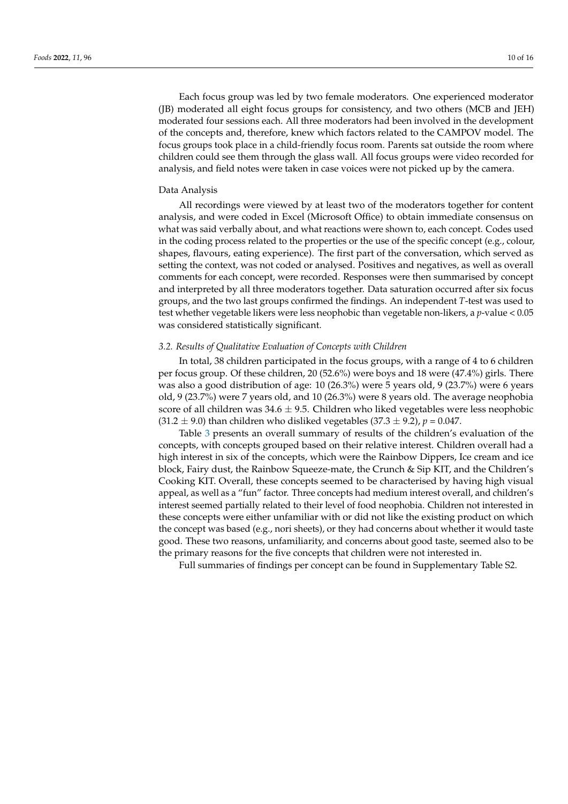Each focus group was led by two female moderators. One experienced moderator (JB) moderated all eight focus groups for consistency, and two others (MCB and JEH) moderated four sessions each. All three moderators had been involved in the development of the concepts and, therefore, knew which factors related to the CAMPOV model. The focus groups took place in a child-friendly focus room. Parents sat outside the room where children could see them through the glass wall. All focus groups were video recorded for analysis, and field notes were taken in case voices were not picked up by the camera.

## Data Analysis

All recordings were viewed by at least two of the moderators together for content analysis, and were coded in Excel (Microsoft Office) to obtain immediate consensus on what was said verbally about, and what reactions were shown to, each concept. Codes used in the coding process related to the properties or the use of the specific concept (e.g., colour, shapes, flavours, eating experience). The first part of the conversation, which served as setting the context, was not coded or analysed. Positives and negatives, as well as overall comments for each concept, were recorded. Responses were then summarised by concept and interpreted by all three moderators together. Data saturation occurred after six focus groups, and the two last groups confirmed the findings. An independent *T*-test was used to test whether vegetable likers were less neophobic than vegetable non-likers, a *p*-value < 0.05 was considered statistically significant.

## *3.2. Results of Qualitative Evaluation of Concepts with Children*

In total, 38 children participated in the focus groups, with a range of 4 to 6 children per focus group. Of these children, 20 (52.6%) were boys and 18 were (47.4%) girls. There was also a good distribution of age: 10 (26.3%) were 5 years old, 9 (23.7%) were 6 years old, 9 (23.7%) were 7 years old, and 10 (26.3%) were 8 years old. The average neophobia score of all children was  $34.6 \pm 9.5$ . Children who liked vegetables were less neophobic  $(31.2 \pm 9.0)$  than children who disliked vegetables  $(37.3 \pm 9.2)$ ,  $p = 0.047$ .

Table [3](#page-10-0) presents an overall summary of results of the children's evaluation of the concepts, with concepts grouped based on their relative interest. Children overall had a high interest in six of the concepts, which were the Rainbow Dippers, Ice cream and ice block, Fairy dust, the Rainbow Squeeze-mate, the Crunch & Sip KIT, and the Children's Cooking KIT. Overall, these concepts seemed to be characterised by having high visual appeal, as well as a "fun" factor. Three concepts had medium interest overall, and children's interest seemed partially related to their level of food neophobia. Children not interested in these concepts were either unfamiliar with or did not like the existing product on which the concept was based (e.g., nori sheets), or they had concerns about whether it would taste good. These two reasons, unfamiliarity, and concerns about good taste, seemed also to be the primary reasons for the five concepts that children were not interested in.

Full summaries of findings per concept can be found in Supplementary Table S2.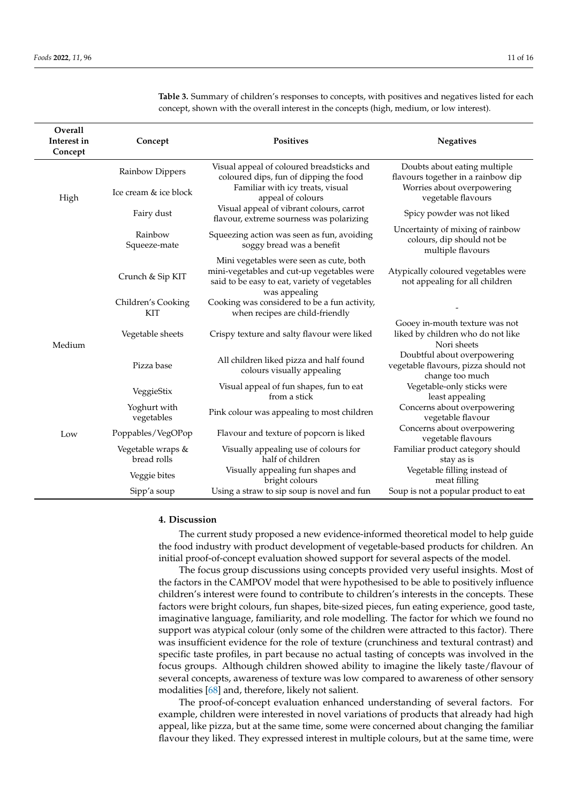| Overall<br>Interest in<br>Concept | Concept                          | Positives                                                                                                                                               | <b>Negatives</b>                                                                       |
|-----------------------------------|----------------------------------|---------------------------------------------------------------------------------------------------------------------------------------------------------|----------------------------------------------------------------------------------------|
| High                              | Rainbow Dippers                  | Visual appeal of coloured breadsticks and<br>coloured dips, fun of dipping the food                                                                     | Doubts about eating multiple<br>flavours together in a rainbow dip                     |
|                                   | Ice cream & ice block            | Familiar with icy treats, visual<br>appeal of colours                                                                                                   | Worries about overpowering<br>vegetable flavours                                       |
|                                   | Fairy dust                       | Visual appeal of vibrant colours, carrot<br>flavour, extreme sourness was polarizing                                                                    | Spicy powder was not liked                                                             |
|                                   | Rainbow<br>Squeeze-mate          | Squeezing action was seen as fun, avoiding<br>soggy bread was a benefit                                                                                 | Uncertainty of mixing of rainbow<br>colours, dip should not be<br>multiple flavours    |
|                                   | Crunch & Sip KIT                 | Mini vegetables were seen as cute, both<br>mini-vegetables and cut-up vegetables were<br>said to be easy to eat, variety of vegetables<br>was appealing | Atypically coloured vegetables were<br>not appealing for all children                  |
|                                   | Children's Cooking<br><b>KIT</b> | Cooking was considered to be a fun activity,<br>when recipes are child-friendly                                                                         |                                                                                        |
| Medium                            | Vegetable sheets                 | Crispy texture and salty flavour were liked                                                                                                             | Gooey in-mouth texture was not<br>liked by children who do not like<br>Nori sheets     |
|                                   | Pizza base                       | All children liked pizza and half found<br>colours visually appealing                                                                                   | Doubtful about overpowering<br>vegetable flavours, pizza should not<br>change too much |
|                                   | VeggieStix                       | Visual appeal of fun shapes, fun to eat<br>from a stick                                                                                                 | Vegetable-only sticks were<br>least appealing                                          |
|                                   | Yoghurt with<br>vegetables       | Pink colour was appealing to most children                                                                                                              | Concerns about overpowering<br>vegetable flavour                                       |
| Low                               | Poppables/VegOPop                | Flavour and texture of popcorn is liked                                                                                                                 | Concerns about overpowering<br>vegetable flavours                                      |
|                                   | Vegetable wraps &<br>bread rolls | Visually appealing use of colours for<br>half of children                                                                                               | Familiar product category should<br>stay as is                                         |
|                                   | Veggie bites                     | Visually appealing fun shapes and<br>bright colours                                                                                                     | Vegetable filling instead of<br>meat filling                                           |
|                                   | Sipp'a soup                      | Using a straw to sip soup is novel and fun                                                                                                              | Soup is not a popular product to eat                                                   |

<span id="page-10-0"></span>**Table 3.** Summary of children's responses to concepts, with positives and negatives listed for each concept, shown with the overall interest in the concepts (high, medium, or low interest).

## **4. Discussion**

The current study proposed a new evidence-informed theoretical model to help guide the food industry with product development of vegetable-based products for children. An initial proof-of-concept evaluation showed support for several aspects of the model.

The focus group discussions using concepts provided very useful insights. Most of the factors in the CAMPOV model that were hypothesised to be able to positively influence children's interest were found to contribute to children's interests in the concepts. These factors were bright colours, fun shapes, bite-sized pieces, fun eating experience, good taste, imaginative language, familiarity, and role modelling. The factor for which we found no support was atypical colour (only some of the children were attracted to this factor). There was insufficient evidence for the role of texture (crunchiness and textural contrast) and specific taste profiles, in part because no actual tasting of concepts was involved in the focus groups. Although children showed ability to imagine the likely taste/flavour of several concepts, awareness of texture was low compared to awareness of other sensory modalities [\[68\]](#page-15-9) and, therefore, likely not salient.

The proof-of-concept evaluation enhanced understanding of several factors. For example, children were interested in novel variations of products that already had high appeal, like pizza, but at the same time, some were concerned about changing the familiar flavour they liked. They expressed interest in multiple colours, but at the same time, were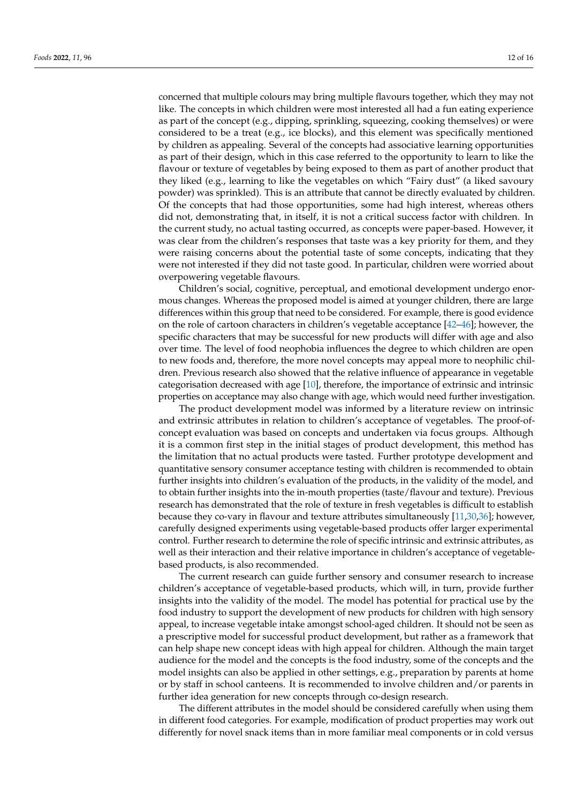concerned that multiple colours may bring multiple flavours together, which they may not like. The concepts in which children were most interested all had a fun eating experience as part of the concept (e.g., dipping, sprinkling, squeezing, cooking themselves) or were considered to be a treat (e.g., ice blocks), and this element was specifically mentioned by children as appealing. Several of the concepts had associative learning opportunities as part of their design, which in this case referred to the opportunity to learn to like the flavour or texture of vegetables by being exposed to them as part of another product that they liked (e.g., learning to like the vegetables on which "Fairy dust" (a liked savoury powder) was sprinkled). This is an attribute that cannot be directly evaluated by children. Of the concepts that had those opportunities, some had high interest, whereas others did not, demonstrating that, in itself, it is not a critical success factor with children. In the current study, no actual tasting occurred, as concepts were paper-based. However, it was clear from the children's responses that taste was a key priority for them, and they were raising concerns about the potential taste of some concepts, indicating that they were not interested if they did not taste good. In particular, children were worried about overpowering vegetable flavours.

Children's social, cognitive, perceptual, and emotional development undergo enormous changes. Whereas the proposed model is aimed at younger children, there are large differences within this group that need to be considered. For example, there is good evidence on the role of cartoon characters in children's vegetable acceptance [\[42–](#page-14-9)[46\]](#page-14-13); however, the specific characters that may be successful for new products will differ with age and also over time. The level of food neophobia influences the degree to which children are open to new foods and, therefore, the more novel concepts may appeal more to neophilic children. Previous research also showed that the relative influence of appearance in vegetable categorisation decreased with age [\[10\]](#page-13-5), therefore, the importance of extrinsic and intrinsic properties on acceptance may also change with age, which would need further investigation.

The product development model was informed by a literature review on intrinsic and extrinsic attributes in relation to children's acceptance of vegetables. The proof-ofconcept evaluation was based on concepts and undertaken via focus groups. Although it is a common first step in the initial stages of product development, this method has the limitation that no actual products were tasted. Further prototype development and quantitative sensory consumer acceptance testing with children is recommended to obtain further insights into children's evaluation of the products, in the validity of the model, and to obtain further insights into the in-mouth properties (taste/flavour and texture). Previous research has demonstrated that the role of texture in fresh vegetables is difficult to establish because they co-vary in flavour and texture attributes simultaneously [\[11,](#page-13-6)[30](#page-13-24)[,36\]](#page-14-3); however, carefully designed experiments using vegetable-based products offer larger experimental control. Further research to determine the role of specific intrinsic and extrinsic attributes, as well as their interaction and their relative importance in children's acceptance of vegetablebased products, is also recommended.

The current research can guide further sensory and consumer research to increase children's acceptance of vegetable-based products, which will, in turn, provide further insights into the validity of the model. The model has potential for practical use by the food industry to support the development of new products for children with high sensory appeal, to increase vegetable intake amongst school-aged children. It should not be seen as a prescriptive model for successful product development, but rather as a framework that can help shape new concept ideas with high appeal for children. Although the main target audience for the model and the concepts is the food industry, some of the concepts and the model insights can also be applied in other settings, e.g., preparation by parents at home or by staff in school canteens. It is recommended to involve children and/or parents in further idea generation for new concepts through co-design research.

The different attributes in the model should be considered carefully when using them in different food categories. For example, modification of product properties may work out differently for novel snack items than in more familiar meal components or in cold versus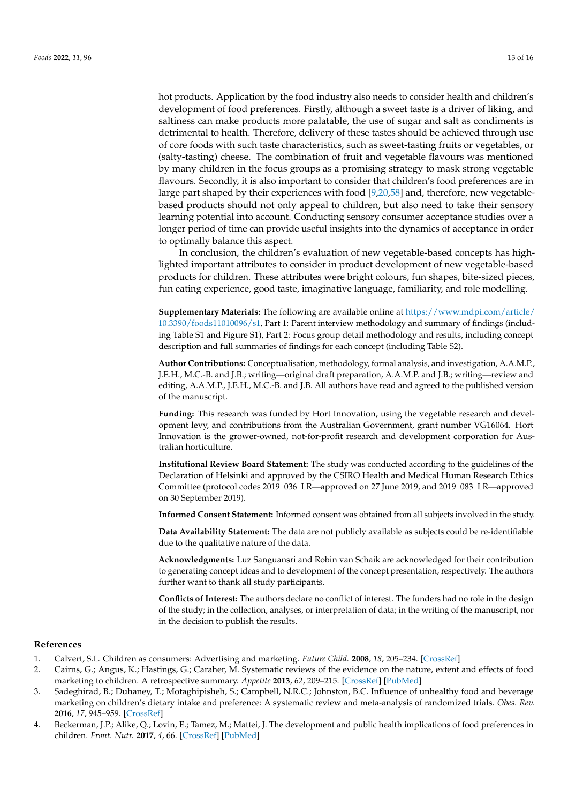hot products. Application by the food industry also needs to consider health and children's development of food preferences. Firstly, although a sweet taste is a driver of liking, and saltiness can make products more palatable, the use of sugar and salt as condiments is detrimental to health. Therefore, delivery of these tastes should be achieved through use of core foods with such taste characteristics, such as sweet-tasting fruits or vegetables, or (salty-tasting) cheese. The combination of fruit and vegetable flavours was mentioned by many children in the focus groups as a promising strategy to mask strong vegetable flavours. Secondly, it is also important to consider that children's food preferences are in large part shaped by their experiences with food [\[9](#page-13-4)[,20](#page-13-27)[,58\]](#page-14-25) and, therefore, new vegetablebased products should not only appeal to children, but also need to take their sensory learning potential into account. Conducting sensory consumer acceptance studies over a longer period of time can provide useful insights into the dynamics of acceptance in order to optimally balance this aspect.

In conclusion, the children's evaluation of new vegetable-based concepts has highlighted important attributes to consider in product development of new vegetable-based products for children. These attributes were bright colours, fun shapes, bite-sized pieces, fun eating experience, good taste, imaginative language, familiarity, and role modelling.

**Supplementary Materials:** The following are available online at [https://www.mdpi.com/article/](https://www.mdpi.com/article/10.3390/foods11010096/s1) [10.3390/foods11010096/s1,](https://www.mdpi.com/article/10.3390/foods11010096/s1) Part 1: Parent interview methodology and summary of findings (including Table S1 and Figure S1), Part 2: Focus group detail methodology and results, including concept description and full summaries of findings for each concept (including Table S2).

**Author Contributions:** Conceptualisation, methodology, formal analysis, and investigation, A.A.M.P., J.E.H., M.C.-B. and J.B.; writing—original draft preparation, A.A.M.P. and J.B.; writing—review and editing, A.A.M.P., J.E.H., M.C.-B. and J.B. All authors have read and agreed to the published version of the manuscript.

**Funding:** This research was funded by Hort Innovation, using the vegetable research and development levy, and contributions from the Australian Government, grant number VG16064. Hort Innovation is the grower-owned, not-for-profit research and development corporation for Australian horticulture.

**Institutional Review Board Statement:** The study was conducted according to the guidelines of the Declaration of Helsinki and approved by the CSIRO Health and Medical Human Research Ethics Committee (protocol codes 2019\_036\_LR—approved on 27 June 2019, and 2019\_083\_LR—approved on 30 September 2019).

**Informed Consent Statement:** Informed consent was obtained from all subjects involved in the study.

**Data Availability Statement:** The data are not publicly available as subjects could be re-identifiable due to the qualitative nature of the data.

**Acknowledgments:** Luz Sanguansri and Robin van Schaik are acknowledged for their contribution to generating concept ideas and to development of the concept presentation, respectively. The authors further want to thank all study participants.

**Conflicts of Interest:** The authors declare no conflict of interest. The funders had no role in the design of the study; in the collection, analyses, or interpretation of data; in the writing of the manuscript, nor in the decision to publish the results.

## **References**

- <span id="page-12-0"></span>1. Calvert, S.L. Children as consumers: Advertising and marketing. *Future Child.* **2008**, *18*, 205–234. [\[CrossRef\]](http://doi.org/10.1353/foc.0.0001)
- <span id="page-12-1"></span>2. Cairns, G.; Angus, K.; Hastings, G.; Caraher, M. Systematic reviews of the evidence on the nature, extent and effects of food marketing to children. A retrospective summary. *Appetite* **2013**, *62*, 209–215. [\[CrossRef\]](http://doi.org/10.1016/j.appet.2012.04.017) [\[PubMed\]](http://www.ncbi.nlm.nih.gov/pubmed/22561190)
- <span id="page-12-2"></span>3. Sadeghirad, B.; Duhaney, T.; Motaghipisheh, S.; Campbell, N.R.C.; Johnston, B.C. Influence of unhealthy food and beverage marketing on children's dietary intake and preference: A systematic review and meta-analysis of randomized trials. *Obes. Rev.* **2016**, *17*, 945–959. [\[CrossRef\]](http://doi.org/10.1111/obr.12445)
- <span id="page-12-3"></span>4. Beckerman, J.P.; Alike, Q.; Lovin, E.; Tamez, M.; Mattei, J. The development and public health implications of food preferences in children. *Front. Nutr.* **2017**, *4*, 66. [\[CrossRef\]](http://doi.org/10.3389/fnut.2017.00066) [\[PubMed\]](http://www.ncbi.nlm.nih.gov/pubmed/29326942)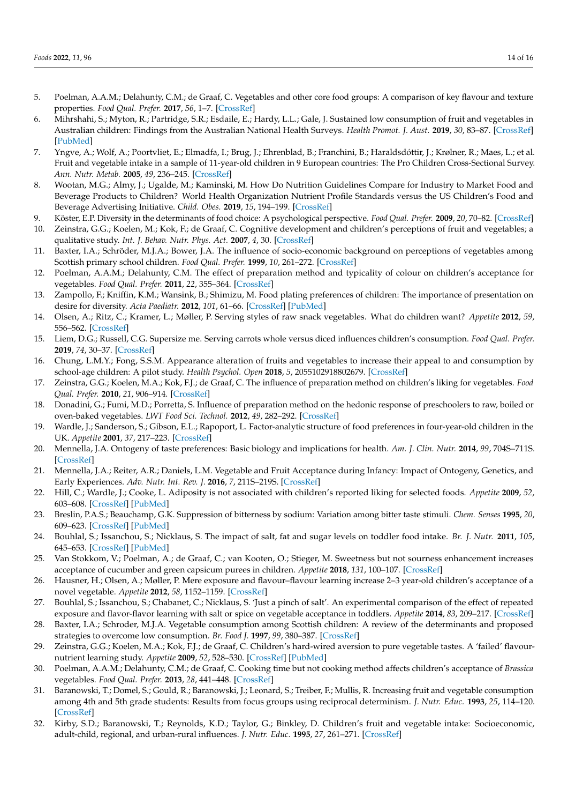- <span id="page-13-0"></span>5. Poelman, A.A.M.; Delahunty, C.M.; de Graaf, C. Vegetables and other core food groups: A comparison of key flavour and texture properties. *Food Qual. Prefer.* **2017**, *56*, 1–7. [\[CrossRef\]](http://doi.org/10.1016/j.foodqual.2016.09.004)
- <span id="page-13-1"></span>6. Mihrshahi, S.; Myton, R.; Partridge, S.R.; Esdaile, E.; Hardy, L.L.; Gale, J. Sustained low consumption of fruit and vegetables in Australian children: Findings from the Australian National Health Surveys. *Health Promot. J. Aust.* **2019**, *30*, 83–87. [\[CrossRef\]](http://doi.org/10.1002/hpja.201) [\[PubMed\]](http://www.ncbi.nlm.nih.gov/pubmed/30175423)
- <span id="page-13-2"></span>7. Yngve, A.; Wolf, A.; Poortvliet, E.; Elmadfa, I.; Brug, J.; Ehrenblad, B.; Franchini, B.; Haraldsdóttir, J.; Krølner, R.; Maes, L.; et al. Fruit and vegetable intake in a sample of 11-year-old children in 9 European countries: The Pro Children Cross-Sectional Survey. *Ann. Nutr. Metab.* **2005**, *49*, 236–245. [\[CrossRef\]](http://doi.org/10.1159/000087247)
- <span id="page-13-3"></span>8. Wootan, M.G.; Almy, J.; Ugalde, M.; Kaminski, M. How Do Nutrition Guidelines Compare for Industry to Market Food and Beverage Products to Children? World Health Organization Nutrient Profile Standards versus the US Children's Food and Beverage Advertising Initiative. *Child. Obes.* **2019**, *15*, 194–199. [\[CrossRef\]](http://doi.org/10.1089/chi.2018.0256)
- <span id="page-13-4"></span>9. Köster, E.P. Diversity in the determinants of food choice: A psychological perspective. *Food Qual. Prefer.* **2009**, *20*, 70–82. [\[CrossRef\]](http://doi.org/10.1016/j.foodqual.2007.11.002)
- <span id="page-13-5"></span>10. Zeinstra, G.G.; Koelen, M.; Kok, F.; de Graaf, C. Cognitive development and children's perceptions of fruit and vegetables; a qualitative study. *Int. J. Behav. Nutr. Phys. Act.* **2007**, *4*, 30. [\[CrossRef\]](http://doi.org/10.1186/1479-5868-4-30)
- <span id="page-13-6"></span>11. Baxter, I.A.; Schröder, M.J.A.; Bower, J.A. The influence of socio-economic background on perceptions of vegetables among Scottish primary school children. *Food Qual. Prefer.* **1999**, *10*, 261–272. [\[CrossRef\]](http://doi.org/10.1016/S0950-3293(98)00042-1)
- <span id="page-13-7"></span>12. Poelman, A.A.M.; Delahunty, C.M. The effect of preparation method and typicality of colour on children's acceptance for vegetables. *Food Qual. Prefer.* **2011**, *22*, 355–364. [\[CrossRef\]](http://doi.org/10.1016/j.foodqual.2011.01.001)
- <span id="page-13-8"></span>13. Zampollo, F.; Kniffin, K.M.; Wansink, B.; Shimizu, M. Food plating preferences of children: The importance of presentation on desire for diversity. *Acta Paediatr.* **2012**, *101*, 61–66. [\[CrossRef\]](http://doi.org/10.1111/j.1651-2227.2011.02409.x) [\[PubMed\]](http://www.ncbi.nlm.nih.gov/pubmed/21767305)
- <span id="page-13-9"></span>14. Olsen, A.; Ritz, C.; Kramer, L.; Møller, P. Serving styles of raw snack vegetables. What do children want? *Appetite* **2012**, *59*, 556–562. [\[CrossRef\]](http://doi.org/10.1016/j.appet.2012.07.002)
- <span id="page-13-10"></span>15. Liem, D.G.; Russell, C.G. Supersize me. Serving carrots whole versus diced influences children's consumption. *Food Qual. Prefer.* **2019**, *74*, 30–37. [\[CrossRef\]](http://doi.org/10.1016/j.foodqual.2019.01.006)
- <span id="page-13-11"></span>16. Chung, L.M.Y.; Fong, S.S.M. Appearance alteration of fruits and vegetables to increase their appeal to and consumption by school-age children: A pilot study. *Health Psychol. Open* **2018**, *5*, 2055102918802679. [\[CrossRef\]](http://doi.org/10.1177/2055102918802679)
- <span id="page-13-12"></span>17. Zeinstra, G.G.; Koelen, M.A.; Kok, F.J.; de Graaf, C. The influence of preparation method on children's liking for vegetables. *Food Qual. Prefer.* **2010**, *21*, 906–914. [\[CrossRef\]](http://doi.org/10.1016/j.foodqual.2009.12.006)
- <span id="page-13-13"></span>18. Donadini, G.; Fumi, M.D.; Porretta, S. Influence of preparation method on the hedonic response of preschoolers to raw, boiled or oven-baked vegetables. *LWT Food Sci. Technol.* **2012**, *49*, 282–292. [\[CrossRef\]](http://doi.org/10.1016/j.lwt.2012.07.019)
- <span id="page-13-14"></span>19. Wardle, J.; Sanderson, S.; Gibson, E.L.; Rapoport, L. Factor-analytic structure of food preferences in four-year-old children in the UK. *Appetite* **2001**, *37*, 217–223. [\[CrossRef\]](http://doi.org/10.1006/appe.2001.0423)
- <span id="page-13-27"></span>20. Mennella, J.A. Ontogeny of taste preferences: Basic biology and implications for health. *Am. J. Clin. Nutr.* **2014**, *99*, 704S–711S. [\[CrossRef\]](http://doi.org/10.3945/ajcn.113.067694)
- <span id="page-13-15"></span>21. Mennella, J.A.; Reiter, A.R.; Daniels, L.M. Vegetable and Fruit Acceptance during Infancy: Impact of Ontogeny, Genetics, and Early Experiences. *Adv. Nutr. Int. Rev. J.* **2016**, *7*, 211S–219S. [\[CrossRef\]](http://doi.org/10.3945/an.115.008649)
- <span id="page-13-16"></span>22. Hill, C.; Wardle, J.; Cooke, L. Adiposity is not associated with children's reported liking for selected foods. *Appetite* **2009**, *52*, 603–608. [\[CrossRef\]](http://doi.org/10.1016/j.appet.2009.02.003) [\[PubMed\]](http://www.ncbi.nlm.nih.gov/pubmed/19501756)
- <span id="page-13-17"></span>23. Breslin, P.A.S.; Beauchamp, G.K. Suppression of bitterness by sodium: Variation among bitter taste stimuli. *Chem. Senses* **1995**, *20*, 609–623. [\[CrossRef\]](http://doi.org/10.1093/chemse/20.6.609) [\[PubMed\]](http://www.ncbi.nlm.nih.gov/pubmed/8788095)
- <span id="page-13-18"></span>24. Bouhlal, S.; Issanchou, S.; Nicklaus, S. The impact of salt, fat and sugar levels on toddler food intake. *Br. J. Nutr.* **2011**, *105*, 645–653. [\[CrossRef\]](http://doi.org/10.1017/S0007114510003752) [\[PubMed\]](http://www.ncbi.nlm.nih.gov/pubmed/21134329)
- <span id="page-13-19"></span>25. Van Stokkom, V.; Poelman, A.; de Graaf, C.; van Kooten, O.; Stieger, M. Sweetness but not sourness enhancement increases acceptance of cucumber and green capsicum purees in children. *Appetite* **2018**, *131*, 100–107. [\[CrossRef\]](http://doi.org/10.1016/j.appet.2018.08.034)
- <span id="page-13-20"></span>26. Hausner, H.; Olsen, A.; Møller, P. Mere exposure and flavour–flavour learning increase 2–3 year-old children's acceptance of a novel vegetable. *Appetite* **2012**, *58*, 1152–1159. [\[CrossRef\]](http://doi.org/10.1016/j.appet.2012.03.009)
- <span id="page-13-21"></span>27. Bouhlal, S.; Issanchou, S.; Chabanet, C.; Nicklaus, S. 'Just a pinch of salt'. An experimental comparison of the effect of repeated exposure and flavor-flavor learning with salt or spice on vegetable acceptance in toddlers. *Appetite* **2014**, *83*, 209–217. [\[CrossRef\]](http://doi.org/10.1016/j.appet.2014.07.032)
- <span id="page-13-22"></span>28. Baxter, I.A.; Schroder, M.J.A. Vegetable consumption among Scottish children: A review of the determinants and proposed strategies to overcome low consumption. *Br. Food J.* **1997**, *99*, 380–387. [\[CrossRef\]](http://doi.org/10.1108/00070709710195167)
- <span id="page-13-23"></span>29. Zeinstra, G.G.; Koelen, M.A.; Kok, F.J.; de Graaf, C. Children's hard-wired aversion to pure vegetable tastes. A 'failed' flavournutrient learning study. *Appetite* **2009**, *52*, 528–530. [\[CrossRef\]](http://doi.org/10.1016/j.appet.2008.11.006) [\[PubMed\]](http://www.ncbi.nlm.nih.gov/pubmed/19071170)
- <span id="page-13-24"></span>30. Poelman, A.A.M.; Delahunty, C.M.; de Graaf, C. Cooking time but not cooking method affects children's acceptance of *Brassica* vegetables. *Food Qual. Prefer.* **2013**, *28*, 441–448. [\[CrossRef\]](http://doi.org/10.1016/j.foodqual.2012.12.003)
- <span id="page-13-25"></span>31. Baranowski, T.; Domel, S.; Gould, R.; Baranowski, J.; Leonard, S.; Treiber, F.; Mullis, R. Increasing fruit and vegetable consumption among 4th and 5th grade students: Results from focus groups using reciprocal determinism. *J. Nutr. Educ.* **1993**, *25*, 114–120. [\[CrossRef\]](http://doi.org/10.1016/S0022-3182(12)80567-X)
- <span id="page-13-26"></span>32. Kirby, S.D.; Baranowski, T.; Reynolds, K.D.; Taylor, G.; Binkley, D. Children's fruit and vegetable intake: Socioeconomic, adult-child, regional, and urban-rural influences. *J. Nutr. Educ.* **1995**, *27*, 261–271. [\[CrossRef\]](http://doi.org/10.1016/S0022-3182(12)80794-1)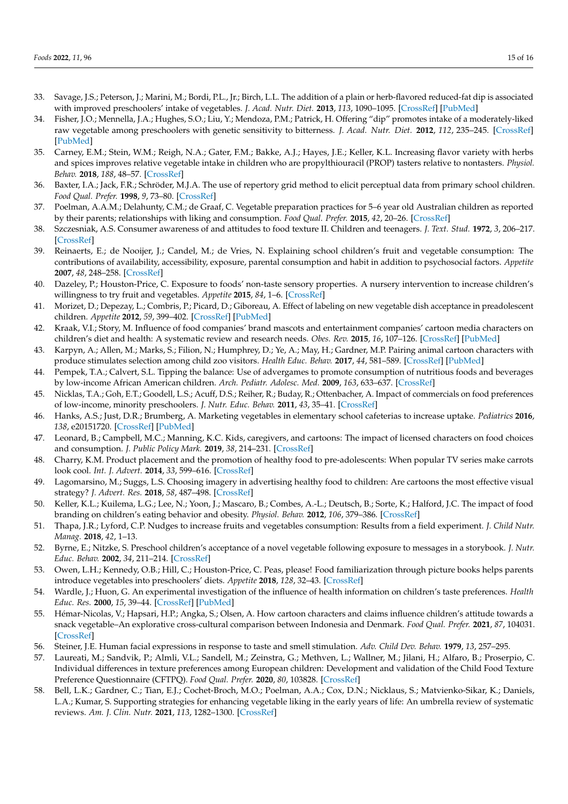- <span id="page-14-0"></span>33. Savage, J.S.; Peterson, J.; Marini, M.; Bordi, P.L., Jr.; Birch, L.L. The addition of a plain or herb-flavored reduced-fat dip is associated with improved preschoolers' intake of vegetables. *J. Acad. Nutr. Diet.* **2013**, *113*, 1090–1095. [\[CrossRef\]](http://doi.org/10.1016/j.jand.2013.03.013) [\[PubMed\]](http://www.ncbi.nlm.nih.gov/pubmed/23701754)
- <span id="page-14-1"></span>34. Fisher, J.O.; Mennella, J.A.; Hughes, S.O.; Liu, Y.; Mendoza, P.M.; Patrick, H. Offering "dip" promotes intake of a moderately-liked raw vegetable among preschoolers with genetic sensitivity to bitterness. *J. Acad. Nutr. Diet.* **2012**, *112*, 235–245. [\[CrossRef\]](http://doi.org/10.1016/j.jada.2011.08.032) [\[PubMed\]](http://www.ncbi.nlm.nih.gov/pubmed/22741167)
- <span id="page-14-2"></span>35. Carney, E.M.; Stein, W.M.; Reigh, N.A.; Gater, F.M.; Bakke, A.J.; Hayes, J.E.; Keller, K.L. Increasing flavor variety with herbs and spices improves relative vegetable intake in children who are propylthiouracil (PROP) tasters relative to nontasters. *Physiol. Behav.* **2018**, *188*, 48–57. [\[CrossRef\]](http://doi.org/10.1016/j.physbeh.2018.01.021)
- <span id="page-14-3"></span>36. Baxter, I.A.; Jack, F.R.; Schröder, M.J.A. The use of repertory grid method to elicit perceptual data from primary school children. *Food Qual. Prefer.* **1998**, *9*, 73–80. [\[CrossRef\]](http://doi.org/10.1016/S0950-3293(97)00031-1)
- <span id="page-14-4"></span>37. Poelman, A.A.M.; Delahunty, C.M.; de Graaf, C. Vegetable preparation practices for 5–6 year old Australian children as reported by their parents; relationships with liking and consumption. *Food Qual. Prefer.* **2015**, *42*, 20–26. [\[CrossRef\]](http://doi.org/10.1016/j.foodqual.2015.01.005)
- <span id="page-14-5"></span>38. Szczesniak, A.S. Consumer awareness of and attitudes to food texture II. Children and teenagers. *J. Text. Stud.* **1972**, *3*, 206–217. [\[CrossRef\]](http://doi.org/10.1111/j.1745-4603.1972.tb00624.x)
- <span id="page-14-6"></span>39. Reinaerts, E.; de Nooijer, J.; Candel, M.; de Vries, N. Explaining school children's fruit and vegetable consumption: The contributions of availability, accessibility, exposure, parental consumption and habit in addition to psychosocial factors. *Appetite* **2007**, *48*, 248–258. [\[CrossRef\]](http://doi.org/10.1016/j.appet.2006.09.007)
- <span id="page-14-7"></span>40. Dazeley, P.; Houston-Price, C. Exposure to foods' non-taste sensory properties. A nursery intervention to increase children's willingness to try fruit and vegetables. *Appetite* **2015**, *84*, 1–6. [\[CrossRef\]](http://doi.org/10.1016/j.appet.2014.08.040)
- <span id="page-14-8"></span>41. Morizet, D.; Depezay, L.; Combris, P.; Picard, D.; Giboreau, A. Effect of labeling on new vegetable dish acceptance in preadolescent children. *Appetite* **2012**, *59*, 399–402. [\[CrossRef\]](http://doi.org/10.1016/j.appet.2012.05.030) [\[PubMed\]](http://www.ncbi.nlm.nih.gov/pubmed/22664298)
- <span id="page-14-9"></span>42. Kraak, V.I.; Story, M. Influence of food companies' brand mascots and entertainment companies' cartoon media characters on children's diet and health: A systematic review and research needs. *Obes. Rev.* **2015**, *16*, 107–126. [\[CrossRef\]](http://doi.org/10.1111/obr.12237) [\[PubMed\]](http://www.ncbi.nlm.nih.gov/pubmed/25516352)
- <span id="page-14-10"></span>43. Karpyn, A.; Allen, M.; Marks, S.; Filion, N.; Humphrey, D.; Ye, A.; May, H.; Gardner, M.P. Pairing animal cartoon characters with produce stimulates selection among child zoo visitors. *Health Educ. Behav.* **2017**, *44*, 581–589. [\[CrossRef\]](http://doi.org/10.1177/1090198116679359) [\[PubMed\]](http://www.ncbi.nlm.nih.gov/pubmed/27866159)
- <span id="page-14-11"></span>44. Pempek, T.A.; Calvert, S.L. Tipping the balance: Use of advergames to promote consumption of nutritious foods and beverages by low-income African American children. *Arch. Pediatr. Adolesc. Med.* **2009**, *163*, 633–637. [\[CrossRef\]](http://doi.org/10.1001/archpediatrics.2009.71)
- <span id="page-14-12"></span>45. Nicklas, T.A.; Goh, E.T.; Goodell, L.S.; Acuff, D.S.; Reiher, R.; Buday, R.; Ottenbacher, A. Impact of commercials on food preferences of low-income, minority preschoolers. *J. Nutr. Educ. Behav.* **2011**, *43*, 35–41. [\[CrossRef\]](http://doi.org/10.1016/j.jneb.2009.11.007)
- <span id="page-14-13"></span>46. Hanks, A.S.; Just, D.R.; Brumberg, A. Marketing vegetables in elementary school cafeterias to increase uptake. *Pediatrics* **2016**, *138*, e20151720. [\[CrossRef\]](http://doi.org/10.1542/peds.2015-1720) [\[PubMed\]](http://www.ncbi.nlm.nih.gov/pubmed/27382136)
- <span id="page-14-14"></span>47. Leonard, B.; Campbell, M.C.; Manning, K.C. Kids, caregivers, and cartoons: The impact of licensed characters on food choices and consumption. *J. Public Policy Mark.* **2019**, *38*, 214–231. [\[CrossRef\]](http://doi.org/10.1177/0743915619827919)
- <span id="page-14-15"></span>48. Charry, K.M. Product placement and the promotion of healthy food to pre-adolescents: When popular TV series make carrots look cool. *Int. J. Advert.* **2014**, *33*, 599–616. [\[CrossRef\]](http://doi.org/10.2501/IJA-33-3-599-616)
- <span id="page-14-16"></span>49. Lagomarsino, M.; Suggs, L.S. Choosing imagery in advertising healthy food to children: Are cartoons the most effective visual strategy? *J. Advert. Res.* **2018**, *58*, 487–498. [\[CrossRef\]](http://doi.org/10.2501/JAR-2018-003)
- <span id="page-14-17"></span>50. Keller, K.L.; Kuilema, L.G.; Lee, N.; Yoon, J.; Mascaro, B.; Combes, A.-L.; Deutsch, B.; Sorte, K.; Halford, J.C. The impact of food branding on children's eating behavior and obesity. *Physiol. Behav.* **2012**, *106*, 379–386. [\[CrossRef\]](http://doi.org/10.1016/j.physbeh.2012.03.011)
- <span id="page-14-18"></span>51. Thapa, J.R.; Lyford, C.P. Nudges to increase fruits and vegetables consumption: Results from a field experiment. *J. Child Nutr. Manag.* **2018**, *42*, 1–13.
- <span id="page-14-19"></span>52. Byrne, E.; Nitzke, S. Preschool children's acceptance of a novel vegetable following exposure to messages in a storybook. *J. Nutr. Educ. Behav.* **2002**, *34*, 211–214. [\[CrossRef\]](http://doi.org/10.1016/S1499-4046(06)60095-X)
- <span id="page-14-20"></span>53. Owen, L.H.; Kennedy, O.B.; Hill, C.; Houston-Price, C. Peas, please! Food familiarization through picture books helps parents introduce vegetables into preschoolers' diets. *Appetite* **2018**, *128*, 32–43. [\[CrossRef\]](http://doi.org/10.1016/j.appet.2018.05.140)
- <span id="page-14-21"></span>54. Wardle, J.; Huon, G. An experimental investigation of the influence of health information on children's taste preferences. *Health Educ. Res.* **2000**, *15*, 39–44. [\[CrossRef\]](http://doi.org/10.1093/her/15.1.39) [\[PubMed\]](http://www.ncbi.nlm.nih.gov/pubmed/10788200)
- <span id="page-14-22"></span>55. Hémar-Nicolas, V.; Hapsari, H.P.; Angka, S.; Olsen, A. How cartoon characters and claims influence children's attitude towards a snack vegetable–An explorative cross-cultural comparison between Indonesia and Denmark. *Food Qual. Prefer.* **2021**, *87*, 104031. [\[CrossRef\]](http://doi.org/10.1016/j.foodqual.2020.104031)
- <span id="page-14-23"></span>56. Steiner, J.E. Human facial expressions in response to taste and smell stimulation. *Adv. Child Dev. Behav.* **1979**, *13*, 257–295.
- <span id="page-14-24"></span>57. Laureati, M.; Sandvik, P.; Almli, V.L.; Sandell, M.; Zeinstra, G.; Methven, L.; Wallner, M.; Jilani, H.; Alfaro, B.; Proserpio, C. Individual differences in texture preferences among European children: Development and validation of the Child Food Texture Preference Questionnaire (CFTPQ). *Food Qual. Prefer.* **2020**, *80*, 103828. [\[CrossRef\]](http://doi.org/10.1016/j.foodqual.2019.103828)
- <span id="page-14-25"></span>58. Bell, L.K.; Gardner, C.; Tian, E.J.; Cochet-Broch, M.O.; Poelman, A.A.; Cox, D.N.; Nicklaus, S.; Matvienko-Sikar, K.; Daniels, L.A.; Kumar, S. Supporting strategies for enhancing vegetable liking in the early years of life: An umbrella review of systematic reviews. *Am. J. Clin. Nutr.* **2021**, *113*, 1282–1300. [\[CrossRef\]](http://doi.org/10.1093/ajcn/nqaa384)